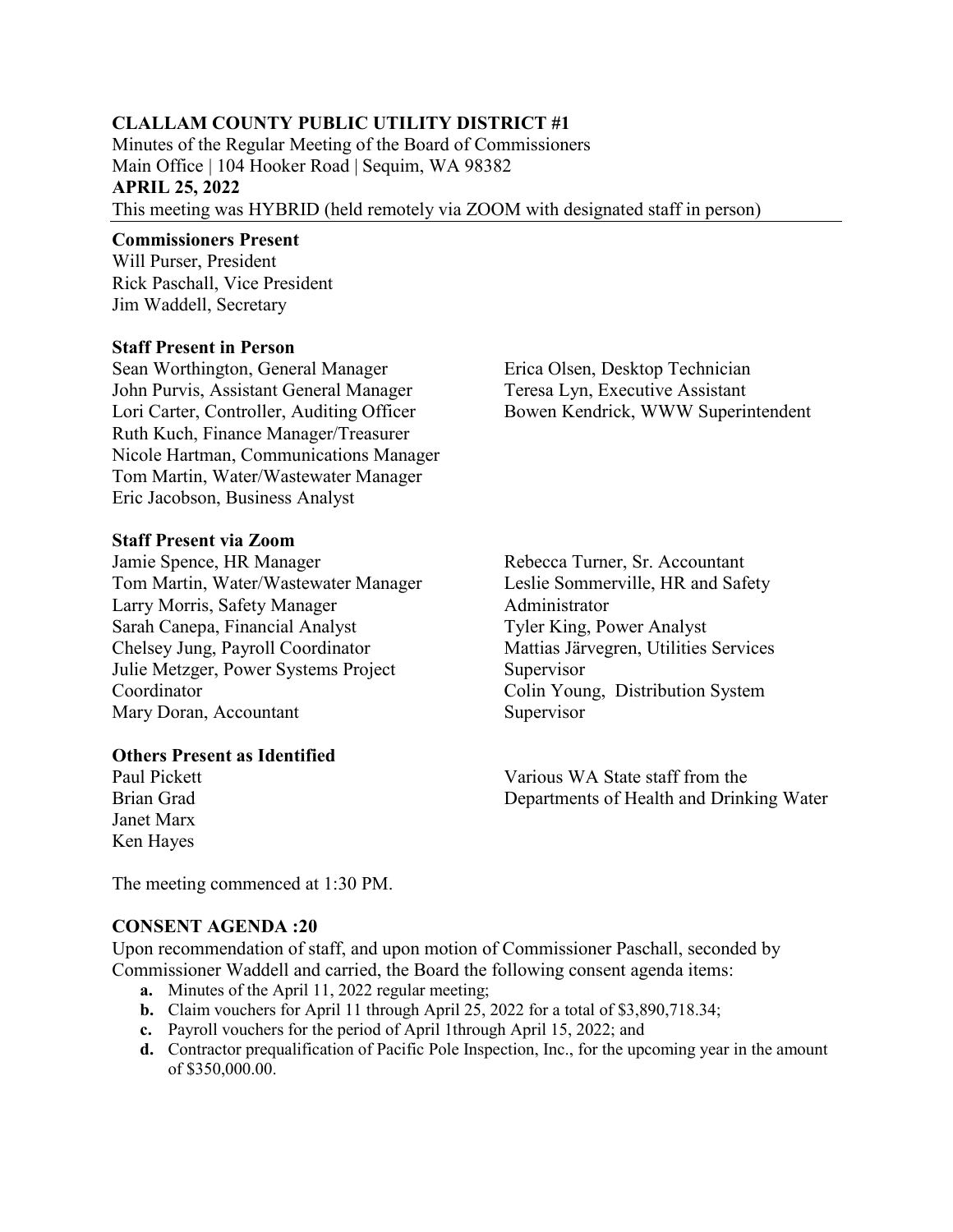# **CLALLAM COUNTY PUBLIC UTILITY DISTRICT #1**

Minutes of the Regular Meeting of the Board of Commissioners Main Office | 104 Hooker Road | Sequim, WA 98382 **APRIL 25, 2022**  This meeting was HYBRID (held remotely via ZOOM with designated staff in person)

### **Commissioners Present**

Will Purser, President Rick Paschall, Vice President Jim Waddell, Secretary

#### **Staff Present in Person**

Sean Worthington, General Manager John Purvis, Assistant General Manager Lori Carter, Controller, Auditing Officer Ruth Kuch, Finance Manager/Treasurer Nicole Hartman, Communications Manager Tom Martin, Water/Wastewater Manager Eric Jacobson, Business Analyst

#### **Staff Present via Zoom**

Jamie Spence, HR Manager Tom Martin, Water/Wastewater Manager Larry Morris, Safety Manager Sarah Canepa, Financial Analyst Chelsey Jung, Payroll Coordinator Julie Metzger, Power Systems Project Coordinator Mary Doran, Accountant

### **Others Present as Identified**

Paul Pickett Brian Grad Janet Marx Ken Hayes

Erica Olsen, Desktop Technician Teresa Lyn, Executive Assistant Bowen Kendrick, WWW Superintendent

Rebecca Turner, Sr. Accountant Leslie Sommerville, HR and Safety Administrator Tyler King, Power Analyst Mattias Järvegren, Utilities Services Supervisor Colin Young, Distribution System Supervisor

Various WA State staff from the Departments of Health and Drinking Water

The meeting commenced at 1:30 PM.

### **CONSENT AGENDA :20**

Upon recommendation of staff, and upon motion of Commissioner Paschall, seconded by Commissioner Waddell and carried, the Board the following consent agenda items:

- **a.** Minutes of the April 11, 2022 regular meeting;
- **b.** Claim vouchers for April 11 through April 25, 2022 for a total of \$3,890,718.34;
- **c.** Payroll vouchers for the period of April 1through April 15, 2022; and
- **d.** Contractor prequalification of Pacific Pole Inspection, Inc., for the upcoming year in the amount of \$350,000.00.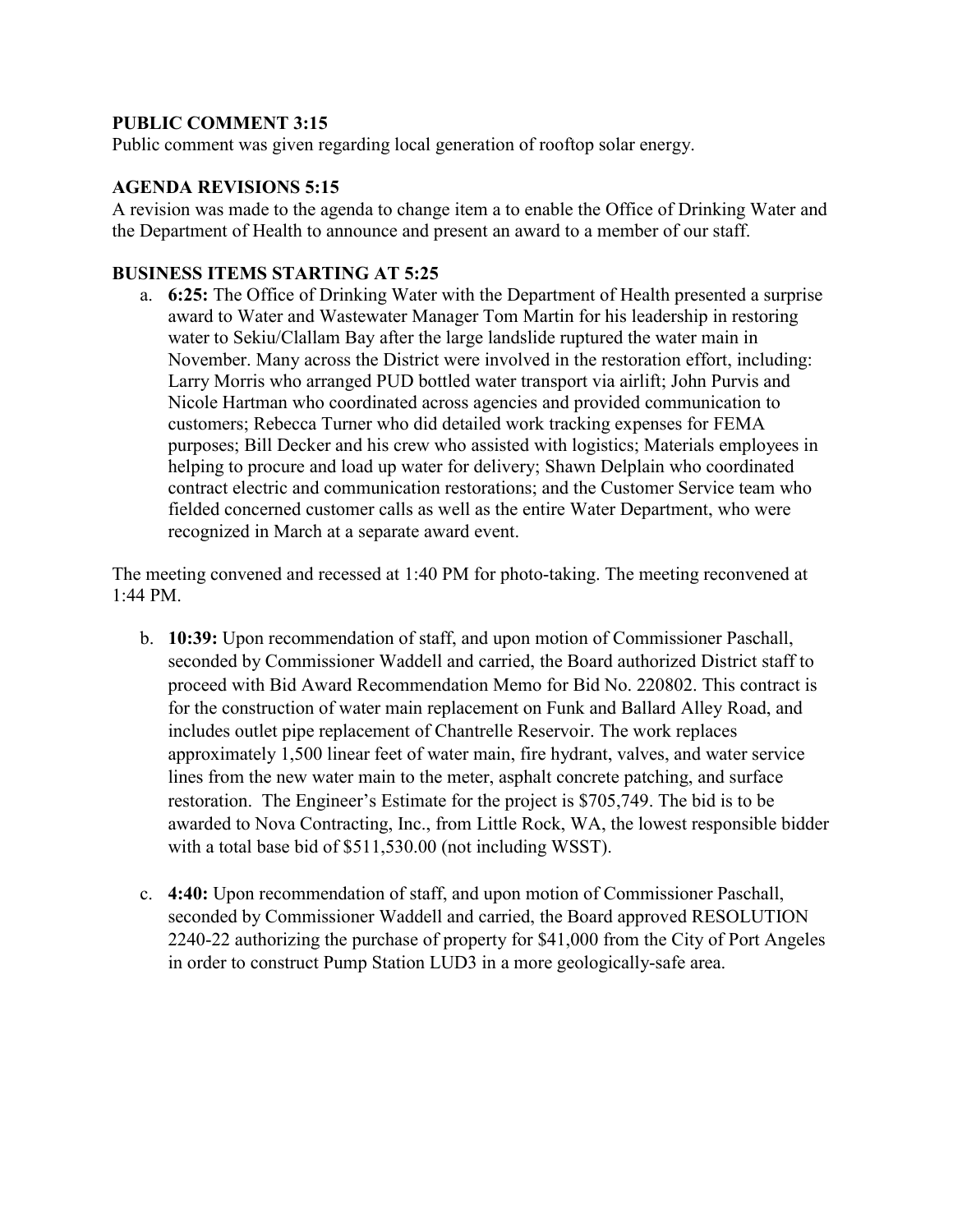## **PUBLIC COMMENT 3:15**

Public comment was given regarding local generation of rooftop solar energy.

### **AGENDA REVISIONS 5:15**

A revision was made to the agenda to change item a to enable the Office of Drinking Water and the Department of Health to announce and present an award to a member of our staff.

## **BUSINESS ITEMS STARTING AT 5:25**

a. **6:25:** The Office of Drinking Water with the Department of Health presented a surprise award to Water and Wastewater Manager Tom Martin for his leadership in restoring water to Sekiu/Clallam Bay after the large landslide ruptured the water main in November. Many across the District were involved in the restoration effort, including: Larry Morris who arranged PUD bottled water transport via airlift; John Purvis and Nicole Hartman who coordinated across agencies and provided communication to customers; Rebecca Turner who did detailed work tracking expenses for FEMA purposes; Bill Decker and his crew who assisted with logistics; Materials employees in helping to procure and load up water for delivery; Shawn Delplain who coordinated contract electric and communication restorations; and the Customer Service team who fielded concerned customer calls as well as the entire Water Department, who were recognized in March at a separate award event.

The meeting convened and recessed at 1:40 PM for photo-taking. The meeting reconvened at 1:44 PM.

- b. **10:39:** Upon recommendation of staff, and upon motion of Commissioner Paschall, seconded by Commissioner Waddell and carried, the Board authorized District staff to proceed with Bid Award Recommendation Memo for Bid No. 220802. This contract is for the construction of water main replacement on Funk and Ballard Alley Road, and includes outlet pipe replacement of Chantrelle Reservoir. The work replaces approximately 1,500 linear feet of water main, fire hydrant, valves, and water service lines from the new water main to the meter, asphalt concrete patching, and surface restoration. The Engineer's Estimate for the project is \$705,749. The bid is to be awarded to Nova Contracting, Inc., from Little Rock, WA, the lowest responsible bidder with a total base bid of \$511,530.00 (not including WSST).
- c. **4:40:** Upon recommendation of staff, and upon motion of Commissioner Paschall, seconded by Commissioner Waddell and carried, the Board approved RESOLUTION 2240-22 authorizing the purchase of property for \$41,000 from the City of Port Angeles in order to construct Pump Station LUD3 in a more geologically-safe area.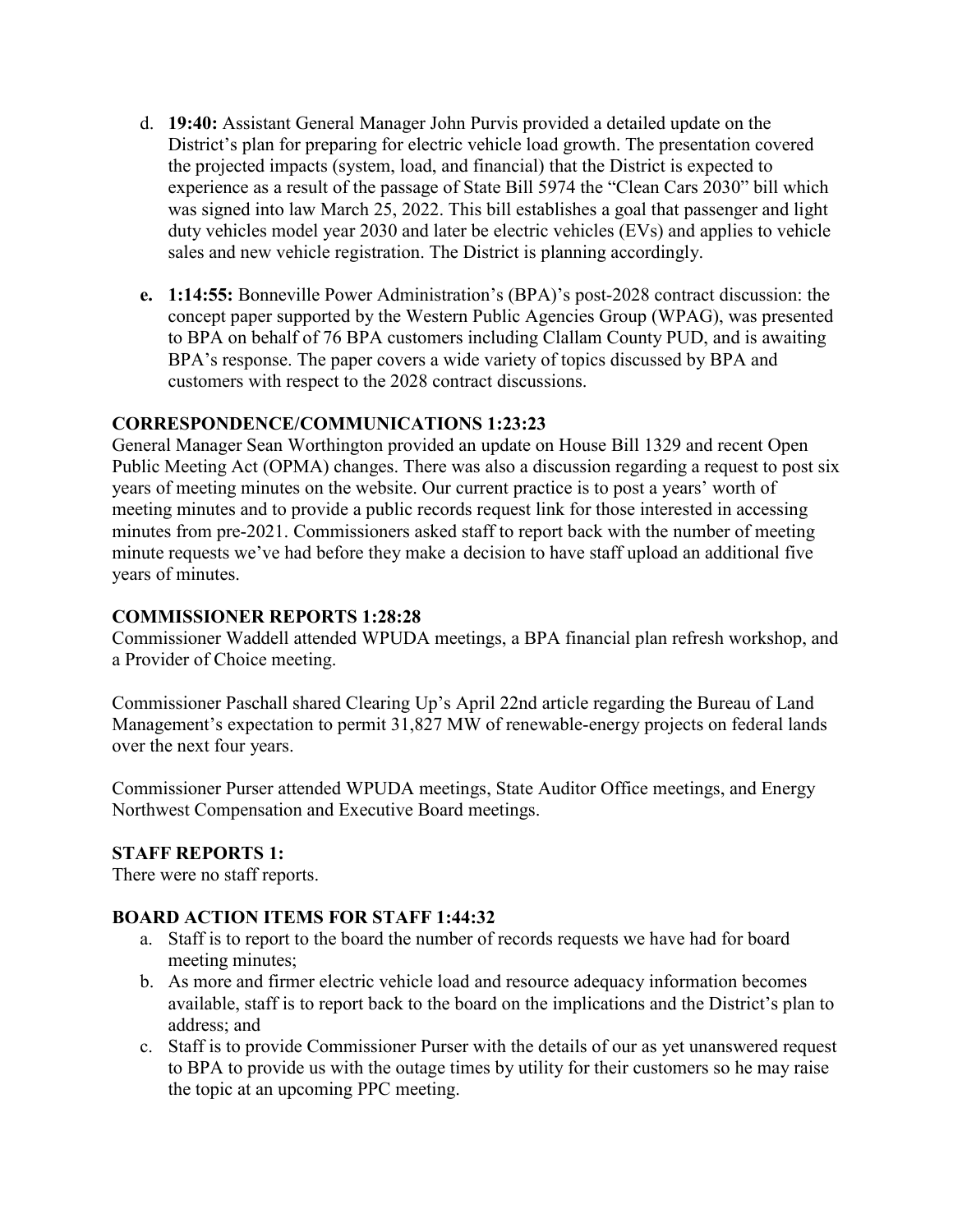- d. **19:40:** Assistant General Manager John Purvis provided a detailed update on the District's plan for preparing for electric vehicle load growth. The presentation covered the projected impacts (system, load, and financial) that the District is expected to experience as a result of the passage of State Bill 5974 the "Clean Cars 2030" bill which was signed into law March 25, 2022. This bill establishes a goal that passenger and light duty vehicles model year 2030 and later be electric vehicles (EVs) and applies to vehicle sales and new vehicle registration. The District is planning accordingly.
- **e. 1:14:55:** Bonneville Power Administration's (BPA)'s post-2028 contract discussion: the concept paper supported by the Western Public Agencies Group (WPAG), was presented to BPA on behalf of 76 BPA customers including Clallam County PUD, and is awaiting BPA's response. The paper covers a wide variety of topics discussed by BPA and customers with respect to the 2028 contract discussions.

### **CORRESPONDENCE/COMMUNICATIONS 1:23:23**

General Manager Sean Worthington provided an update on House Bill 1329 and recent Open Public Meeting Act (OPMA) changes. There was also a discussion regarding a request to post six years of meeting minutes on the website. Our current practice is to post a years' worth of meeting minutes and to provide a public records request link for those interested in accessing minutes from pre-2021. Commissioners asked staff to report back with the number of meeting minute requests we've had before they make a decision to have staff upload an additional five years of minutes.

### **COMMISSIONER REPORTS 1:28:28**

Commissioner Waddell attended WPUDA meetings, a BPA financial plan refresh workshop, and a Provider of Choice meeting.

Commissioner Paschall shared Clearing Up's April 22nd article regarding the Bureau of Land Management's expectation to permit 31,827 MW of renewable-energy projects on federal lands over the next four years.

Commissioner Purser attended WPUDA meetings, State Auditor Office meetings, and Energy Northwest Compensation and Executive Board meetings.

### **STAFF REPORTS 1:**

There were no staff reports.

### **BOARD ACTION ITEMS FOR STAFF 1:44:32**

- a. Staff is to report to the board the number of records requests we have had for board meeting minutes;
- b. As more and firmer electric vehicle load and resource adequacy information becomes available, staff is to report back to the board on the implications and the District's plan to address; and
- c. Staff is to provide Commissioner Purser with the details of our as yet unanswered request to BPA to provide us with the outage times by utility for their customers so he may raise the topic at an upcoming PPC meeting.